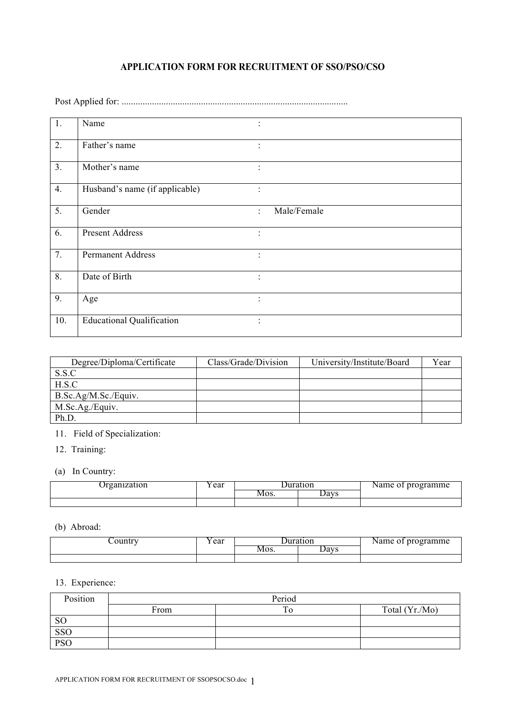## **APPLICATION FORM FOR RECRUITMENT OF SSO/PSO/CSO**

Post Applied for: .................................................................................................

| 1.               | Name                             |                      |             |
|------------------|----------------------------------|----------------------|-------------|
| 2.               | Father's name                    |                      |             |
| 3.               | Mother's name                    |                      |             |
| 4.               | Husband's name (if applicable)   | $\ddot{\cdot}$       |             |
| 5.               | Gender                           | $\ddot{\phantom{0}}$ | Male/Female |
| 6.               | <b>Present Address</b>           |                      |             |
| $\overline{7}$ . | <b>Permanent Address</b>         |                      |             |
| 8.               | Date of Birth                    |                      |             |
| 9.               | Age                              |                      |             |
| 10.              | <b>Educational Qualification</b> |                      |             |

| Degree/Diploma/Certificate | Class/Grade/Division | University/Institute/Board | Year |
|----------------------------|----------------------|----------------------------|------|
| S.S.C                      |                      |                            |      |
| H.S.C                      |                      |                            |      |
| B.Sc.Ag/M.Sc./Equiv.       |                      |                            |      |
| M.Sc.Ag./Equiv.            |                      |                            |      |
| Ph.D.                      |                      |                            |      |

11. Field of Specialization:

12. Training:

(a) In Country:

| rganization | ear | Juration |      | nm o<br>programme<br>лаше-<br>$\sim$ U.F. |
|-------------|-----|----------|------|-------------------------------------------|
|             |     | MOS.     | Days |                                           |
|             |     |          |      |                                           |

(b) Abroad:

| ∕ountry | ear | <b>Juration</b> |      | Name of programme |
|---------|-----|-----------------|------|-------------------|
|         |     | Mos.            | Days |                   |
|         |     |                 |      |                   |

## 13. Experience:

| Position      | Period |         |                |  |
|---------------|--------|---------|----------------|--|
|               | From   | ௱<br>TΩ | Total (Yr./Mo) |  |
| <sub>SO</sub> |        |         |                |  |
| SSO           |        |         |                |  |
| <b>PSO</b>    |        |         |                |  |